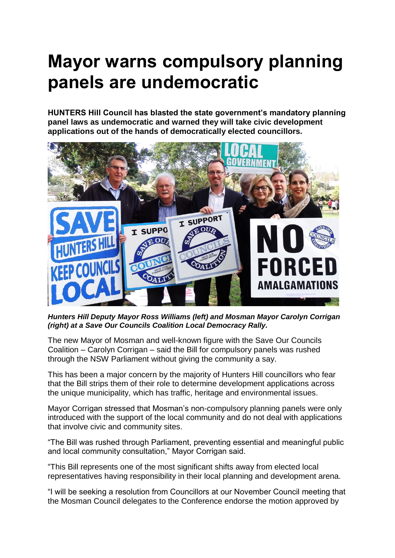## **Mayor warns compulsory planning panels are undemocratic**

**HUNTERS Hill Council has blasted the state government's mandatory planning panel laws as undemocratic and warned they will take civic development applications out of the hands of democratically elected councillors.**



*Hunters Hill Deputy Mayor Ross Williams (left) and Mosman Mayor Carolyn Corrigan (right) at a Save Our Councils Coalition Local Democracy Rally.* 

The new Mayor of Mosman and well-known figure with the Save Our Councils Coalition – Carolyn Corrigan – said the Bill for compulsory panels was rushed through the NSW Parliament without giving the community a say.

This has been a major concern by the majority of Hunters Hill councillors who fear that the Bill strips them of their role to determine development applications across the unique municipality, which has traffic, heritage and environmental issues.

Mayor Corrigan stressed that Mosman's non-compulsory planning panels were only introduced with the support of the local community and do not deal with applications that involve civic and community sites.

"The Bill was rushed through Parliament, preventing essential and meaningful public and local community consultation," Mayor Corrigan said.

"This Bill represents one of the most significant shifts away from elected local representatives having responsibility in their local planning and development arena.

"I will be seeking a resolution from Councillors at our November Council meeting that the Mosman Council delegates to the Conference endorse the motion approved by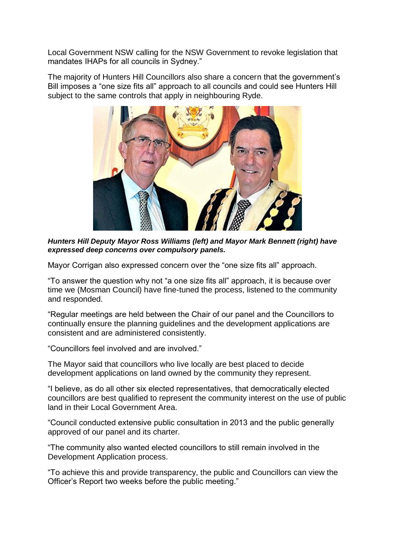Local Government NSW calling for the NSW Government to revoke legislation that mandates IHAPs for all councils in Sydney."

The majority of Hunters Hill Councillors also share a concern that the government's Bill imposes a "one size fits all" approach to all councils and could see Hunters Hill subject to the same controls that apply in neighbouring Ryde.



*Hunters Hill Deputy Mayor Ross Williams (left) and Mayor Mark Bennett (right) have expressed deep concerns over compulsory panels.* 

Mayor Corrigan also expressed concern over the "one size fits all" approach.

"To answer the question why not "a one size fits all" approach, it is because over time we (Mosman Council) have fine-tuned the process, listened to the community and responded.

"Regular meetings are held between the Chair of our panel and the Councillors to continually ensure the planning guidelines and the development applications are consistent and are administered consistently.

"Councillors feel involved and are involved."

The Mayor said that councillors who live locally are best placed to decide development applications on land owned by the community they represent.

"I believe, as do all other six elected representatives, that democratically elected councillors are best qualified to represent the community interest on the use of public land in their Local Government Area.

"Council conducted extensive public consultation in 2013 and the public generally approved of our panel and its charter.

"The community also wanted elected councillors to still remain involved in the Development Application process.

"To achieve this and provide transparency, the public and Councillors can view the Officer's Report two weeks before the public meeting."